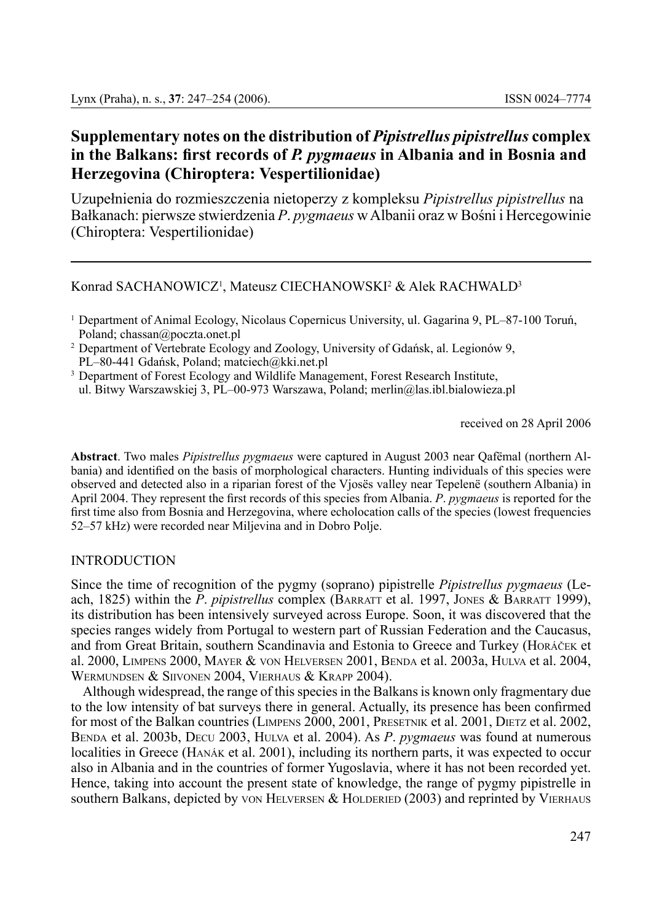# **Supplementary notes on the distribution of** *Pipistrellus pipistrellus* **complex in the Balkans: first records of** *P. pygmaeus* **in Albania and in Bosnia and Herzegovina (Chiroptera: Vespertilionidae)**

Uzupełnienia do rozmieszczenia nietoperzy z kompleksu *Pipistrellus pipistrellus* na Bałkanach: pierwsze stwierdzenia *P*. *pygmaeus* w Albanii oraz w Bośni i Hercegowinie (Chiroptera: Vespertilionidae)

## Konrad SACHANOWICZ<sup>1</sup>, Mateusz CIECHANOWSKI<sup>2</sup> & Alek RACHWALD<sup>3</sup>

<sup>3</sup> Department of Forest Ecology and Wildlife Management, Forest Research Institute, ul. Bitwy Warszawskiej 3, PL–00-973 Warszawa, Poland; merlin@las.ibl.bialowieza.pl

received on 28 April 2006

**Abstract**. Two males *Pipistrellus pygmaeus* were captured in August 2003 near Qafëmal (northern Albania) and identified on the basis of morphological characters. Hunting individuals of this species were observed and detected also in a riparian forest of the Vjosës valley near Tepelenë (southern Albania) in April 2004. They represent the first records of this species from Albania. *P*. *pygmaeus* is reported for the first time also from Bosnia and Herzegovina, where echolocation calls of the species (lowest frequencies 52–57 kHz) were recorded near Miljevina and in Dobro Polje.

### **INTRODUCTION**

Since the time of recognition of the pygmy (soprano) pipistrelle *Pipistrellus pygmaeus* (Leach, 1825) within the *P. pipistrellus* complex (BARRATT et al. 1997, JONES & BARRATT 1999), its distribution has been intensively surveyed across Europe. Soon, it was discovered that the species ranges widely from Portugal to western part of Russian Federation and the Caucasus, and from Great Britain, southern Scandinavia and Estonia to Greece and Turkey (Horáček et al. 2000, Limpens 2000, Mayer & von Helversen 2001, Benda et al. 2003a, Hulva et al. 2004, Wermundsen & Siivonen 2004, Vierhaus & Krapp 2004).

Although widespread, the range of this species in the Balkans is known only fragmentary due to the low intensity of bat surveys there in general. Actually, its presence has been confirmed for most of the Balkan countries (Limpens 2000, 2001, Presetnik et al. 2001, Dietz et al. 2002, Benda et al. 2003b, Decu 2003, Hulva et al. 2004). As *P*. *pygmaeus* was found at numerous localities in Greece (Hanák et al. 2001), including its northern parts, it was expected to occur also in Albania and in the countries of former Yugoslavia, where it has not been recorded yet. Hence, taking into account the present state of knowledge, the range of pygmy pipistrelle in southern Balkans, depicted by von HELVERSEN  $&$  HOLDERIED (2003) and reprinted by VIERHAUS

<sup>1</sup> Department of Animal Ecology, Nicolaus Copernicus University, ul. Gagarina 9, PL–87-100 Toruń, Poland; chassan@poczta.onet.pl

<sup>2</sup> Department of Vertebrate Ecology and Zoology, University of Gdańsk, al. Legionów 9, PL–80-441 Gdańsk, Poland; matciech@kki.net.pl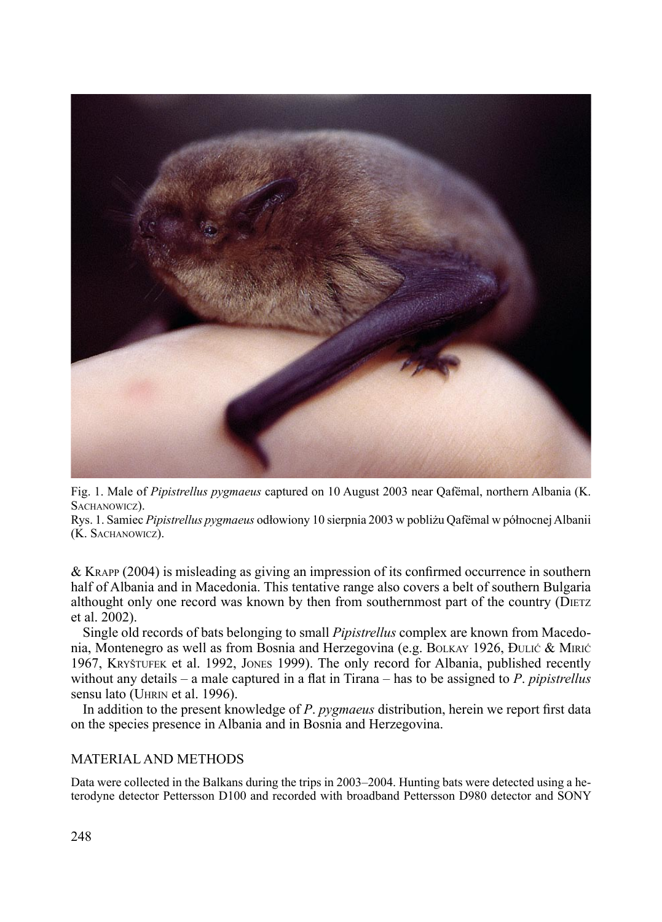

Fig. 1. Male of *Pipistrellus pygmaeus* captured on 10 August 2003 near Qafëmal, northern Albania (K. SACHANOWICZ).

Rys. 1. Samiec *Pipistrellus pygmaeus* odłowiony 10 sierpnia 2003 w pobliżu Qafëmal w północnej Albanii (K. Sachanowicz).

& Krapp (2004) is misleading as giving an impression of its confirmed occurrence in southern half of Albania and in Macedonia. This tentative range also covers a belt of southern Bulgaria althought only one record was known by then from southernmost part of the country (Dietz et al. 2002).

Single old records of bats belonging to small *Pipistrellus* complex are known from Macedonia, Montenegro as well as from Bosnia and Herzegovina (e.g. BOLKAY 1926, ĐULIĆ & MIRIĆ 1967, Kryštufek et al. 1992, Jones 1999). The only record for Albania, published recently without any details – a male captured in a flat in Tirana – has to be assigned to *P*. *pipistrellus* sensu lato (UHRIN et al. 1996).

In addition to the present knowledge of *P*. *pygmaeus* distribution, herein we report first data on the species presence in Albania and in Bosnia and Herzegovina.

### Material and methods

Data were collected in the Balkans during the trips in 2003–2004. Hunting bats were detected using a heterodyne detector Pettersson D100 and recorded with broadband Pettersson D980 detector and SONY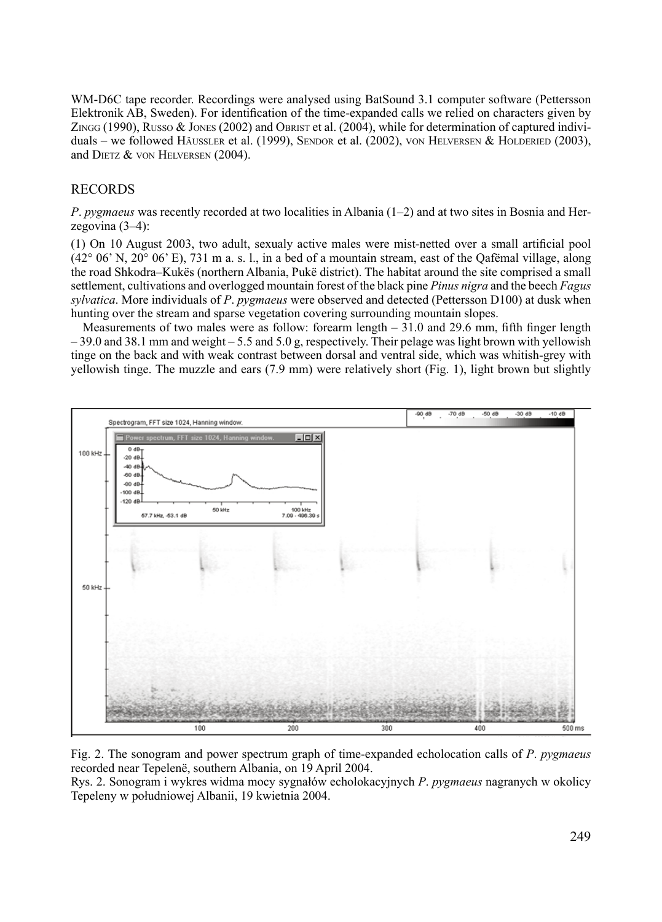WM-D6C tape recorder. Recordings were analysed using BatSound 3.1 computer software (Pettersson Elektronik AB, Sweden). For identification of the time-expanded calls we relied on characters given by Z $N_{\text{NGG}}$  (1990), Russo & Jones (2002) and Obrist et al. (2004), while for determination of captured individuals – we followed Häussler et al. (1999), SENDOR et al. (2002), VON HELVERSEN & HOLDERIED (2003), and DIETZ & VON HELVERSEN (2004).

### ReCORDS

*P*. *pygmaeus* was recently recorded at two localities in Albania (1–2) and at two sites in Bosnia and Herzegovina (3–4):

(1) On 10 August 2003, two adult, sexualy active males were mist-netted over a small artificial pool  $(42^{\circ}~06^{\circ}~\text{N}, 20^{\circ}~06^{\circ}~\text{E})$ , 731 m a, s, 1, in a bed of a mountain stream, east of the Oafemal village, along the road Shkodra–Kukës (northern Albania, Pukë district). The habitat around the site comprised a small settlement, cultivations and overlogged mountain forest of the black pine *Pinus nigra* and the beech *Fagus sylvatica*. More individuals of *P*. *pygmaeus* were observed and detected (Pettersson D100) at dusk when hunting over the stream and sparse vegetation covering surrounding mountain slopes.

Measurements of two males were as follow: forearm length – 31.0 and 29.6 mm, fifth finger length – 39.0 and 38.1 mm and weight – 5.5 and 5.0 g, respectively. Their pelage was light brown with yellowish tinge on the back and with weak contrast between dorsal and ventral side, which was whitish-grey with yellowish tinge. The muzzle and ears (7.9 mm) were relatively short (Fig. 1), light brown but slightly



Fig. 2. The sonogram and power spectrum graph of time-expanded echolocation calls of *P*. *pygmaeus* recorded near Tepelenë, southern Albania, on 19 April 2004.

Rys. 2. Sonogram i wykres widma mocy sygnałów echolokacyjnych *P*. *pygmaeus* nagranych w okolicy Tepeleny w południowej Albanii, 19 kwietnia 2004.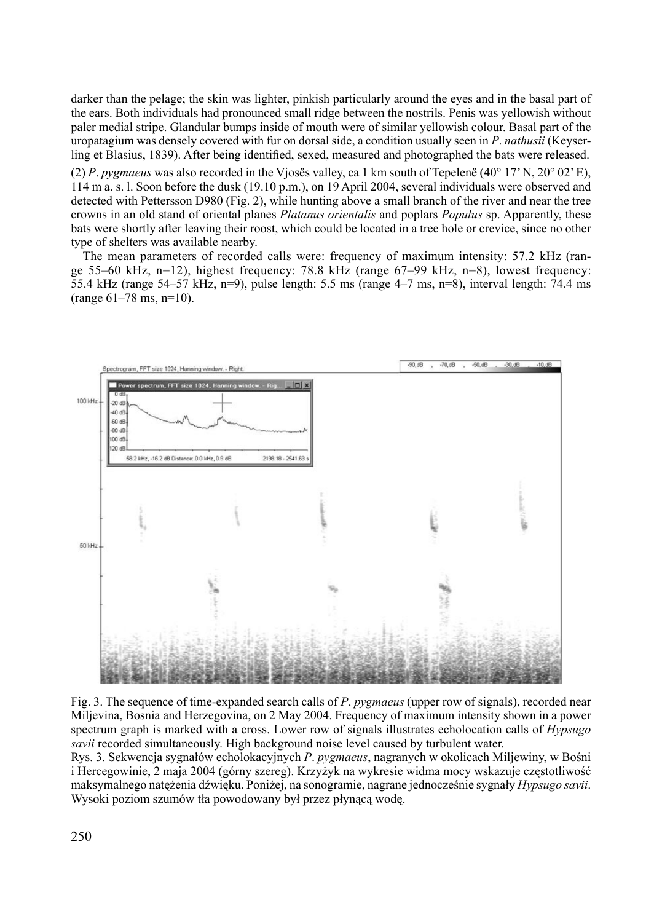darker than the pelage; the skin was lighter, pinkish particularly around the eyes and in the basal part of the ears. Both individuals had pronounced small ridge between the nostrils. Penis was yellowish without paler medial stripe. Glandular bumps inside of mouth were of similar yellowish colour. Basal part of the uropatagium was densely covered with fur on dorsal side, a condition usually seen in *P*. *nathusii* (Keyserling et Blasius, 1839). After being identified, sexed, measured and photographed the bats were released.

(2) *P*. *pygmaeus* was also recorded in the Vjosës valley, ca 1 km south of Tepelenë (40° 17'N, 20° 02'E), 114 m a. s. l. Soon before the dusk (19.10 p.m.), on 19 April 2004, several individuals were observed and detected with Pettersson D980 (Fig. 2), while hunting above a small branch of the river and near the tree crowns in an old stand of oriental planes *Platanus orientalis* and poplars *Populus* sp. Apparently, these bats were shortly after leaving their roost, which could be located in a tree hole or crevice, since no other type of shelters was available nearby.

The mean parameters of recorded calls were: frequency of maximum intensity: 57.2 kHz (range 55–60 kHz, n=12), highest frequency: 78.8 kHz (range  $67-99$  kHz, n=8), lowest frequency: 55.4 kHz (range 54–57 kHz, n=9), pulse length: 5.5 ms (range 4–7 ms, n=8), interval length: 74.4 ms  $(range 61-78 ms, n=10).$ 



Fig. 3. The sequence of time-expanded search calls of *P*. *pygmaeus* (upper row of signals), recorded near Miljevina, Bosnia and Herzegovina, on 2 May 2004. Frequency of maximum intensity shown in a power spectrum graph is marked with a cross. Lower row of signals illustrates echolocation calls of *Hypsugo savii* recorded simultaneously. High background noise level caused by turbulent water.

Rys. 3. Sekwencja sygnałów echolokacyjnych *P*. *pygmaeus*, nagranych w okolicach Miljewiny, w Bośni i Hercegowinie, 2 maja 2004 (górny szereg). Krzyżyk na wykresie widma mocy wskazuje częstotliwość maksymalnego natężenia dźwięku. Poniżej, na sonogramie, nagrane jednocześnie sygnały *Hypsugo savii*. Wysoki poziom szumów tła powodowany był przez płynącą wodę.

250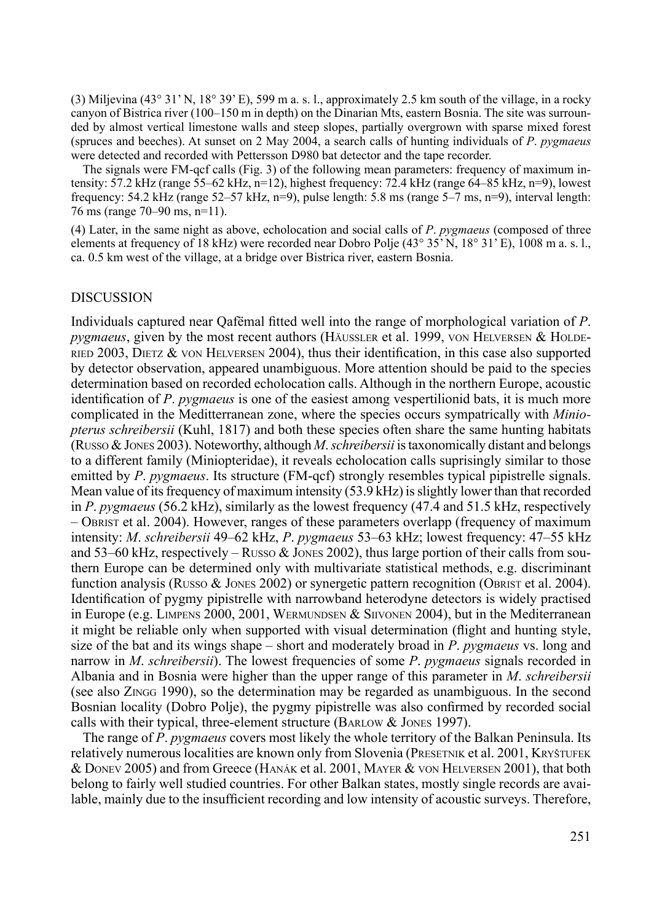(3) Miljevina (43° 31' N, 18° 39' E), 599 m a. s. l., approximately 2.5 km south of the village, in a rocky canyon of Bistrica river (100–150 m in depth) on the Dinarian Mts, eastern Bosnia. The site was surrounded by almost vertical limestone walls and steep slopes, partially overgrown with sparse mixed forest (spruces and beeches). At sunset on 2 May 2004, a search calls of hunting individuals of *P*. *pygmaeus* were detected and recorded with Pettersson D980 bat detector and the tape recorder.

The signals were FM-qcf calls (Fig. 3) of the following mean parameters: frequency of maximum intensity: 57.2 kHz (range 55–62 kHz, n=12), highest frequency: 72.4 kHz (range 64–85 kHz, n=9), lowest frequency: 54.2 kHz (range 52–57 kHz, n=9), pulse length: 5.8 ms (range 5–7 ms, n=9), interval length: 76 ms (range 70–90 ms, n=11).

(4) Later, in the same night as above, echolocation and social calls of *P*. *pygmaeus* (composed of three elements at frequency of 18 kHz) were recorded near Dobro Polje (43° 35' N, 18° 31' E), 1008 m a. s. l., ca. 0.5 km west of the village, at a bridge over Bistrica river, eastern Bosnia.

### **DISCUSSION**

Individuals captured near Qafëmal fitted well into the range of morphological variation of *P*. *pygmaeus*, given by the most recent authors (Häussler et al. 1999, von Helversen & Holde-RIED 2003, DIETZ  $\&$  von HELVERSEN 2004), thus their identification, in this case also supported by detector observation, appeared unambiguous. More attention should be paid to the species determination based on recorded echolocation calls. Although in the northern Europe, acoustic identification of *P*. *pygmaeus* is one of the easiest among vespertilionid bats, it is much more complicated in the Meditterranean zone, where the species occurs sympatrically with *Miniopterus schreibersii* (Kuhl, 1817) and both these species often share the same hunting habitats (Russo & Jones 2003). Noteworthy, although *M*. *schreibersii* is taxonomically distant and belongs to a different family (Miniopteridae), it reveals echolocation calls suprisingly similar to those emitted by *P*. *pygmaeus*. Its structure (FM-qcf) strongly resembles typical pipistrelle signals. Mean value of its frequency of maximum intensity (53.9 kHz) is slightly lower than that recorded in *P*. *pygmaeus* (56.2 kHz), similarly as the lowest frequency (47.4 and 51.5 kHz, respectively – Obrist et al. 2004). However, ranges of these parameters overlapp (frequency of maximum intensity: *M*. *schreibersii* 49–62 kHz, *P*. *pygmaeus* 53–63 kHz; lowest frequency: 47–55 kHz and 53–60 kHz, respectively – Russo  $\&$  Jones 2002), thus large portion of their calls from southern Europe can be determined only with multivariate statistical methods, e.g. discriminant function analysis (Russo  $\&$  Jones 2002) or synergetic pattern recognition (Obrist et al. 2004). Identification of pygmy pipistrelle with narrowband heterodyne detectors is widely practised in Europe (e.g. LIMPENS 2000, 2001, WERMUNDSEN  $&$  SIIVONEN 2004), but in the Mediterranean it might be reliable only when supported with visual determination (flight and hunting style, size of the bat and its wings shape – short and moderately broad in *P*. *pygmaeus* vs. long and narrow in *M*. *schreibersii*). The lowest frequencies of some *P*. *pygmaeus* signals recorded in Albania and in Bosnia were higher than the upper range of this parameter in *M*. *schreibersii* (see also Z<sub>INGG</sub> 1990), so the determination may be regarded as unambiguous. In the second Bosnian locality (Dobro Polje), the pygmy pipistrelle was also confirmed by recorded social calls with their typical, three-element structure (BARLOW  $&$  JONES 1997).

The range of *P*. *pygmaeus* covers most likely the whole territory of the Balkan Peninsula. Its relatively numerous localities are known only from Slovenia (PRESETNIK et al. 2001, KRYŠTUFEK & Donev 2005) and from Greece (Hanák et al. 2001, Mayer & von Helversen 2001), that both belong to fairly well studied countries. For other Balkan states, mostly single records are available, mainly due to the insufficient recording and low intensity of acoustic surveys. Therefore,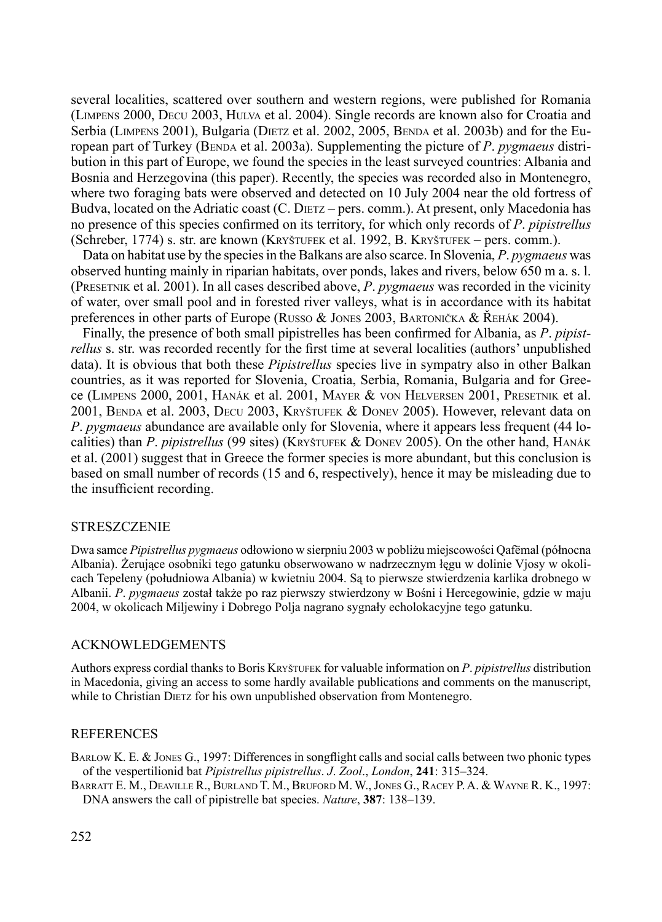several localities, scattered over southern and western regions, were published for Romania (Limpens 2000, Decu 2003, Hulva et al. 2004). Single records are known also for Croatia and Serbia (LIMPENS 2001), Bulgaria (DIETZ et al. 2002, 2005, BENDA et al. 2003b) and for the European part of Turkey (Benda et al. 2003a). Supplementing the picture of *P*. *pygmaeus* distribution in this part of Europe, we found the species in the least surveyed countries: Albania and Bosnia and Herzegovina (this paper). Recently, the species was recorded also in Montenegro, where two foraging bats were observed and detected on 10 July 2004 near the old fortress of Budva, located on the Adriatic coast (C. DIETZ – pers. comm.). At present, only Macedonia has no presence of this species confirmed on its territory, for which only records of *P*. *pipistrellus* (Schreber, 1774) s. str. are known (Kryštufek et al. 1992, B. Kryštufek – pers. comm.).

Data on habitat use by the species in the Balkans are also scarce. In Slovenia, *P*. *pygmaeus* was observed hunting mainly in riparian habitats, over ponds, lakes and rivers, below 650 m a. s. l. (Presetnik et al. 2001). In all cases described above, *P*. *pygmaeus* was recorded in the vicinity of water, over small pool and in forested river valleys, what is in accordance with its habitat preferences in other parts of Europe (Russo & Jones 2003, Bartonička & Řehák 2004).

Finally, the presence of both small pipistrelles has been confirmed for Albania, as *P*. *pipistrellus* s. str. was recorded recently for the first time at several localities (authors' unpublished data). It is obvious that both these *Pipistrellus* species live in sympatry also in other Balkan countries, as it was reported for Slovenia, Croatia, Serbia, Romania, Bulgaria and for Greece (Limpens 2000, 2001, Hanák et al. 2001, Mayer & von Helversen 2001, Presetnik et al. 2001, Benda et al. 2003, Decu 2003, Kryštufek & Donev 2005). However, relevant data on *P*. *pygmaeus* abundance are available only for Slovenia, where it appears less frequent (44 localities) than *P*. *pipistrellus* (99 sites) (Kryštufek & Donev 2005). On the other hand, Hanák et al. (2001) suggest that in Greece the former species is more abundant, but this conclusion is based on small number of records (15 and 6, respectively), hence it may be misleading due to the insufficient recording.

### **STRESZCZENIE**

Dwa samce *Pipistrellus pygmaeus* odłowiono w sierpniu 2003 w pobliżu miejscowości Qafëmal (północna Albania). Żerujące osobniki tego gatunku obserwowano w nadrzecznym łęgu w dolinie Vjosy w okolicach Tepeleny (południowa Albania) w kwietniu 2004. Są to pierwsze stwierdzenia karlika drobnego w Albanii. *P*. *pygmaeus* został także po raz pierwszy stwierdzony w Bośni i Hercegowinie, gdzie w maju 2004, w okolicach Miljewiny i Dobrego Polja nagrano sygnały echolokacyjne tego gatunku.

### Acknowledgements

Authors express cordial thanks to Boris Kryštufek for valuable information on *P*. *pipistrellus* distribution in Macedonia, giving an access to some hardly available publications and comments on the manuscript, while to Christian DIETZ for his own unpublished observation from Montenegro.

#### **REFERENCES**

Barlow K. E. & Jones G., 1997: Differences in songflight calls and social calls between two phonic types of the vespertilionid bat *Pipistrellus pipistrellus*. *J*. *Zool*., *London*, **241**: 315–324.

Barratt E. M., Deaville R., Burland T. M., Bruford M. W., Jones G., Racey P. A. & Wayne R. K., 1997: DNA answers the call of pipistrelle bat species. *Nature*, **387**: 138–139.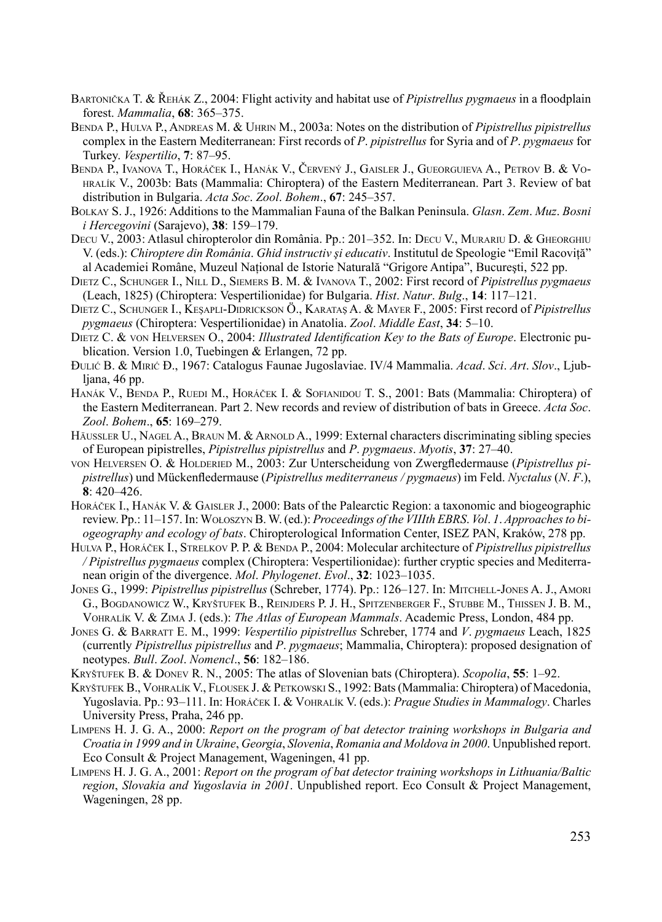- Bartonička T. & Řehák Z., 2004: Flight activity and habitat use of *Pipistrellus pygmaeus* in a floodplain forest. *Mammalia*, **68**: 365–375.
- Benda P., Hulva P., Andreas M. & Uhrin M., 2003a: Notes on the distribution of *Pipistrellus pipistrellus* complex in the Eastern Mediterranean: First records of *P*. *pipistrellus* for Syria and of *P*. *pygmaeus* for Turkey. *Vespertilio*, **7**: 87–95.
- Benda P., Ivanova T., Horáček I., Hanák V., Červený J., Gaisler J., Gueorguieva A., Petrov B. & Vohralík V., 2003b: Bats (Mammalia: Chiroptera) of the Eastern Mediterranean. Part 3. Review of bat distribution in Bulgaria. *Acta Soc*. *Zool*. *Bohem*., **67**: 245–357.
- Bolkay S. J., 1926: Additions to the Mammalian Fauna of the Balkan Peninsula. *Glasn*. *Zem*. *Muz*. *Bosni i Hercegovini* (Sarajevo), **38**: 159–179.
- Decu V., 2003: Atlasul chiropterolor din România. Pp.: 201–352. In: Decu V., Murariu D. & Gheorghiu V. (eds.): *Chiroptere din România*. *Ghid instructiv şi educativ*. Institutul de Speologie "Emil Racoviţă" al Academiei Române, Muzeul National de Istorie Naturală "Grigore Antipa", București, 522 pp.
- Dietz C., Schunger I., Nill D., Siemers B. M. & Ivanova T., 2002: First record of *Pipistrellus pygmaeus* (Leach, 1825) (Chiroptera: Vespertilionidae) for Bulgaria. *Hist*. *Natur*. *Bulg*., **14**: 117–121.
- Dietz C., Schunger I., Keşapli-Didrickson Ö., Karataş A. & Mayer F., 2005: First record of *Pipistrellus pygmaeus* (Chiroptera: Vespertilionidae) in Anatolia. *Zool*. *Middle East*, **34**: 5–10.
- Dietz C. & von Helversen O., 2004: *Illustrated Identification Key to the Bats of Europe*. Electronic publication. Version 1.0, Tuebingen & Erlangen, 72 pp.
- Đulić B. & Mirić Đ., 1967: Catalogus Faunae Jugoslaviae. IV/4 Mammalia. *Acad*. *Sci*. *Art*. *Slov*., Ljubljana, 46 pp.
- Hanák V., Benda P., Ruedi M., Horáček I. & Sofianidou T. S., 2001: Bats (Mammalia: Chiroptera) of the Eastern Mediterranean. Part 2. New records and review of distribution of bats in Greece. *Acta Soc*. *Zool*. *Bohem*., **65**: 169–279.
- HÄUSSLER U., NAGEL A., BRAUN M. & ARNOLD A., 1999: External characters discriminating sibling species of European pipistrelles, *Pipistrellus pipistrellus* and *P*. *pygmaeus*. *Myotis*, **37**: 27–40.
- von Helversen O. & Holderied M., 2003: Zur Unterscheidung von Zwergfledermause (*Pipistrellus pipistrellus*) und Mückenfledermause (*Pipistrellus mediterraneus / pygmaeus*) im Feld. *Nyctalus* (*N*. *F*.), **8**: 420–426.
- Horáček I., Hanák V. & Gaisler J., 2000: Bats of the Palearctic Region: a taxonomic and biogeographic review. Pp.: 11–157. In: Wołoszyn B. W. (ed.): *Proceedings of the VIIIth EBRS*. *Vol*. *1*. *Approachesto biogeography and ecology of bats*. Chiropterological Information Center, ISEZ PAN, Kraków, 278 pp.
- Hulva P., Horáček I., Strelkov P. P. & Benda P., 2004: Molecular architecture of *Pipistrellus pipistrellus / Pipistrellus pygmaeus* complex (Chiroptera: Vespertilionidae): further cryptic species and Mediterranean origin of the divergence. *Mol*. *Phylogenet*. *Evol*., **32**: 1023–1035.
- Jones G., 1999: *Pipistrellus pipistrellus* (Schreber, 1774). Pp.: 126–127. In: Mitchell-Jones A. J., Amori G., Bogdanowicz W., Kryštufek B., Reinjders P. J. H., Spitzenberger F., Stubbe M., Thissen J. B. M., Vohralík V. & Zima J. (eds.): *The Atlas of European Mammals*. Academic Press, London, 484 pp.
- Jones G. & Barratt E. M., 1999: *Vespertilio pipistrellus* Schreber, 1774 and *V*. *pygmaeus* Leach, 1825 (currently *Pipistrellus pipistrellus* and *P*. *pygmaeus*; Mammalia, Chiroptera): proposed designation of neotypes. *Bull*. *Zool*. *Nomencl*., **56**: 182–186.
- Kryštufek B. & Donev R. N., 2005: The atlas of Slovenian bats (Chiroptera). *Scopolia*, **55**: 1–92.
- KRYŠTUFEK B., VOHRALÍK V., FLOUSEK J. & PETKOWSKI S., 1992: Bats (Mammalia: Chiroptera) of Macedonia, Yugoslavia. Pp.: 93–111. In: Horáček I. & Vohralík V. (eds.): *Prague Studies in Mammalogy*. Charles University Press, Praha, 246 pp.
- Limpens H. J. G. A., 2000: *Report on the program of bat detector training workshops in Bulgaria and Croatia in 1999 and in Ukraine*, *Georgia*, *Slovenia*, *Romania and Moldova in 2000*. Unpublished report. Eco Consult & Project Management, Wageningen, 41 pp.
- Limpens H. J. G. A., 2001: *Report on the program of bat detector training workshops in Lithuania/Baltic region*, *Slovakia and Yugoslavia in 2001*. Unpublished report. Eco Consult & Project Management, Wageningen, 28 pp.